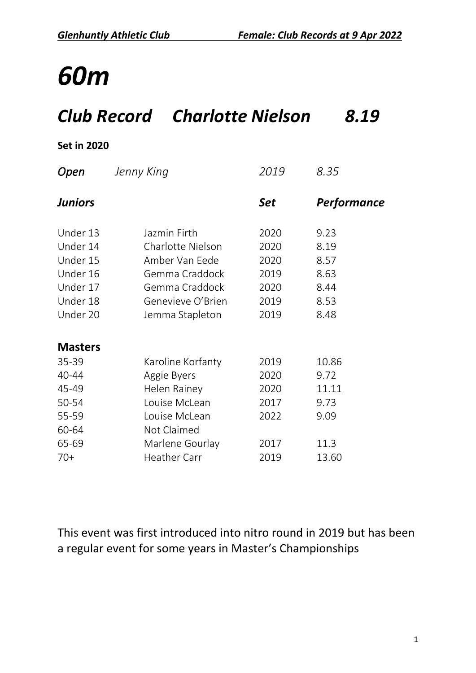#### *Club Record Charlotte Nielson 8.19*

#### **Set in 2020**

| Open           | Jenny King          | 2019 | 8.35        |
|----------------|---------------------|------|-------------|
| <b>Juniors</b> |                     | Set  | Performance |
| Under 13       | Jazmin Firth        | 2020 | 9.23        |
| Under 14       | Charlotte Nielson   | 2020 | 8.19        |
| Under 15       | Amber Van Eede      | 2020 | 8.57        |
| Under 16       | Gemma Craddock      | 2019 | 8.63        |
| Under 17       | Gemma Craddock      | 2020 | 8.44        |
| Under 18       | Genevieve O'Brien   | 2019 | 8.53        |
| Under 20       | Jemma Stapleton     | 2019 | 8.48        |
| <b>Masters</b> |                     |      |             |
| 35-39          | Karoline Korfanty   | 2019 | 10.86       |
| 40-44          | Aggie Byers         | 2020 | 9.72        |
| 45-49          | Helen Rainey        | 2020 | 11.11       |
| 50-54          | Louise McLean       | 2017 | 9.73        |
| 55-59          | Louise McLean       | 2022 | 9.09        |
| 60-64          | Not Claimed         |      |             |
| 65-69          | Marlene Gourlay     | 2017 | 11.3        |
| $70+$          | <b>Heather Carr</b> | 2019 | 13.60       |

This event was first introduced into nitro round in 2019 but has been a regular event for some years in Master's Championships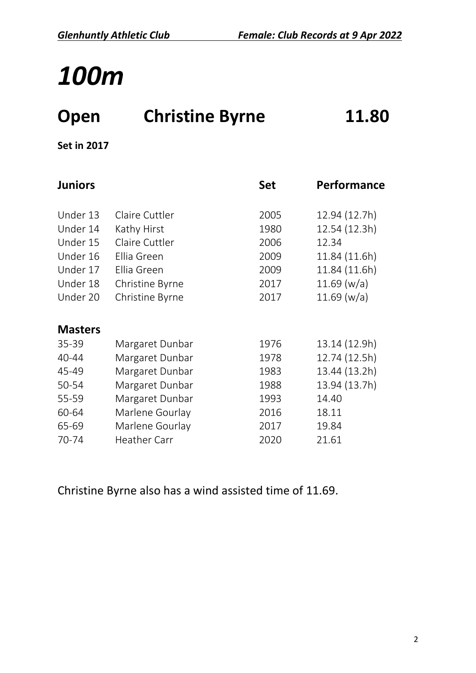## **Open Christine Byrne 11.80**

**Set in 2017**

| <b>Juniors</b> |                     | <b>Set</b> | Performance   |
|----------------|---------------------|------------|---------------|
| Under 13       | Claire Cuttler      | 2005       | 12.94 (12.7h) |
| Under 14       | Kathy Hirst         | 1980       | 12.54 (12.3h) |
| Under 15       | Claire Cuttler      | 2006       | 12.34         |
| Under 16       | Ellia Green         | 2009       | 11.84 (11.6h) |
| Under 17       | Ellia Green         | 2009       | 11.84 (11.6h) |
| Under 18       | Christine Byrne     | 2017       | 11.69 (w/a)   |
| Under 20       | Christine Byrne     | 2017       | 11.69 (w/a)   |
| <b>Masters</b> |                     |            |               |
| $35 - 39$      | Margaret Dunbar     | 1976       | 13.14 (12.9h) |
| 40-44          | Margaret Dunbar     | 1978       | 12.74 (12.5h) |
| 45-49          | Margaret Dunbar     | 1983       | 13.44 (13.2h) |
| 50-54          | Margaret Dunbar     | 1988       | 13.94 (13.7h) |
| 55-59          | Margaret Dunbar     | 1993       | 14.40         |
| 60-64          | Marlene Gourlay     | 2016       | 18.11         |
| 65-69          | Marlene Gourlay     | 2017       | 19.84         |
| 70-74          | <b>Heather Carr</b> | 2020       | 21.61         |

Christine Byrne also has a wind assisted time of 11.69.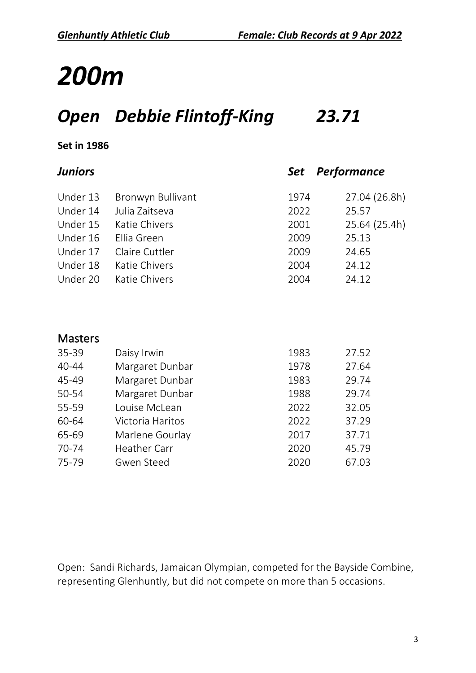## *Open Debbie Flintoff-King 23.71*

#### **Set in 1986**

| <b>Juniors</b> |                     | Set  | <b>Performance</b> |
|----------------|---------------------|------|--------------------|
| Under 13       | Bronwyn Bullivant   | 1974 | 27.04 (26.8h)      |
| Under 14       | Julia Zaitseva      | 2022 | 25.57              |
| Under 15       | Katie Chivers       | 2001 | 25.64 (25.4h)      |
| Under 16       | Ellia Green         | 2009 | 25.13              |
| Under 17       | Claire Cuttler      | 2009 | 24.65              |
| Under 18       | Katie Chivers       | 2004 | 24.12              |
| Under 20       | Katie Chivers       | 2004 | 24.12              |
|                |                     |      |                    |
| <b>Masters</b> |                     |      |                    |
| 35-39          | Daisy Irwin         | 1983 | 27.52              |
| 40-44          | Margaret Dunbar     | 1978 | 27.64              |
| 45-49          | Margaret Dunbar     | 1983 | 29.74              |
| 50-54          | Margaret Dunbar     | 1988 | 29.74              |
| 55-59          | Louise McLean       | 2022 | 32.05              |
| 60-64          | Victoria Haritos    | 2022 | 37.29              |
| 65-69          | Marlene Gourlay     | 2017 | 37.71              |
| 70-74          | <b>Heather Carr</b> | 2020 | 45.79              |
| 75-79          | <b>Gwen Steed</b>   | 2020 | 67.03              |

Open: Sandi Richards, Jamaican Olympian, competed for the Bayside Combine, representing Glenhuntly, but did not compete on more than 5 occasions.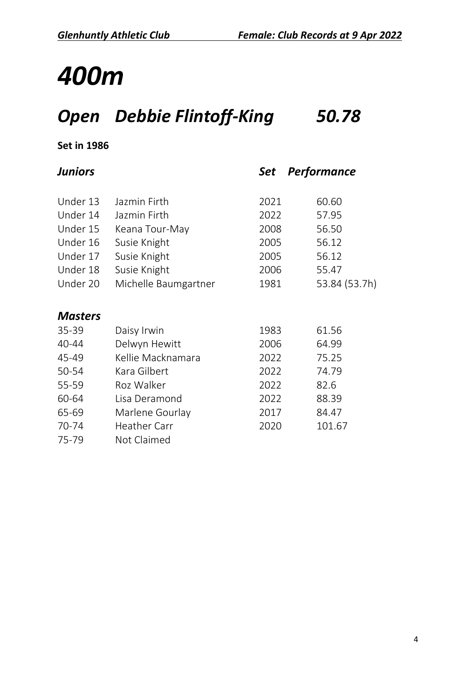## *Open Debbie Flintoff-King 50.78*

| Juniors        |                      | <b>Set</b> | Performance   |
|----------------|----------------------|------------|---------------|
| Under 13       | Jazmin Firth         | 2021       | 60.60         |
| Under 14       | Jazmin Firth         | 2022       | 57.95         |
| Under 15       | Keana Tour-May       | 2008       | 56.50         |
| Under 16       | Susie Knight         | 2005       | 56.12         |
| Under 17       | Susie Knight         | 2005       | 56.12         |
| Under 18       | Susie Knight         | 2006       | 55.47         |
| Under 20       | Michelle Baumgartner | 1981       | 53.84 (53.7h) |
| <b>Masters</b> |                      |            |               |
| 35-39          | Daisy Irwin          | 1983       | 61.56         |
| 40-44          | Delwyn Hewitt        | 2006       | 64.99         |
| 45-49          | Kellie Macknamara    | 2022       | 75.25         |
| 50-54          | Kara Gilbert         | 2022       | 74.79         |
| 55-59          | Roz Walker           | 2022       | 82.6          |
| 60-64          | Lisa Deramond        | 2022       | 88.39         |
| 65-69          | Marlene Gourlay      | 2017       | 84.47         |
| 70-74          | <b>Heather Carr</b>  | 2020       | 101.67        |
| 75-79          | Not Claimed          |            |               |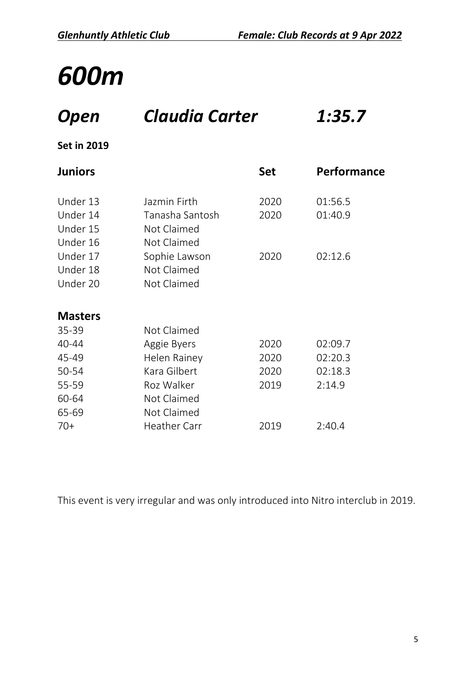## *Open Claudia Carter 1:35.7*

#### **Set in 2019**

| <b>Juniors</b> |                     | <b>Set</b> | Performance |
|----------------|---------------------|------------|-------------|
| Under 13       | Jazmin Firth        | 2020       | 01:56.5     |
| Under 14       | Tanasha Santosh     | 2020       | 01:40.9     |
| Under 15       | Not Claimed         |            |             |
| Under 16       | Not Claimed         |            |             |
| Under 17       | Sophie Lawson       | 2020       | 02:12.6     |
| Under 18       | Not Claimed         |            |             |
| Under 20       | Not Claimed         |            |             |
|                |                     |            |             |
| <b>Masters</b> |                     |            |             |
| 35-39          | Not Claimed         |            |             |
| 40-44          | Aggie Byers         | 2020       | 02:09.7     |
| 45-49          | Helen Rainey        | 2020       | 02:20.3     |
| 50-54          | Kara Gilbert        | 2020       | 02:18.3     |
| 55-59          | Roz Walker          | 2019       | 2:14.9      |
| 60-64          | Not Claimed         |            |             |
| 65-69          | Not Claimed         |            |             |
| $70+$          | <b>Heather Carr</b> | 2019       | 2:40.4      |

This event is very irregular and was only introduced into Nitro interclub in 2019.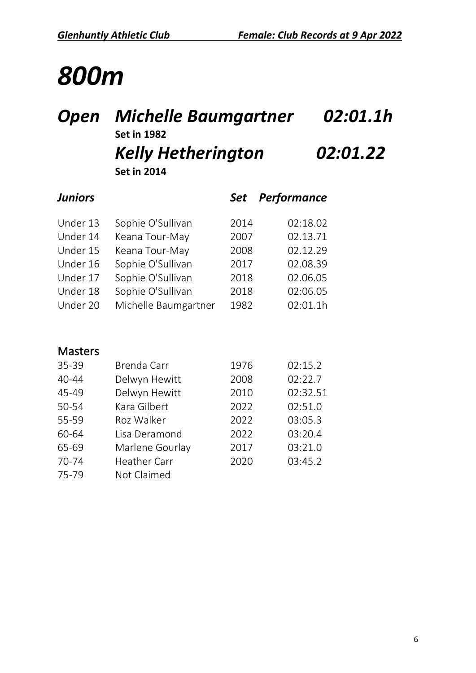#### *Open Michelle Baumgartner 02:01.1h* **Set in 1982** *Kelly Hetherington 02:01.22* **Set in 2014**

| <b>Juniors</b> |                      | <b>Set</b> | Performance |
|----------------|----------------------|------------|-------------|
| Under 13       | Sophie O'Sullivan    | 2014       | 02:18.02    |
| Under 14       | Keana Tour-May       | 2007       | 02.13.71    |
| Under 15       | Keana Tour-May       | 2008       | 02.12.29    |
| Under 16       | Sophie O'Sullivan    | 2017       | 02.08.39    |
| Under 17       | Sophie O'Sullivan    | 2018       | 02.06.05    |
| Under 18       | Sophie O'Sullivan    | 2018       | 02:06.05    |
| Under 20       | Michelle Baumgartner | 1982       | 02:01.1h    |

| 35-39     | Brenda Carr         | 1976 | 02:15.2  |
|-----------|---------------------|------|----------|
| $40 - 44$ | Delwyn Hewitt       | 2008 | 02:22.7  |
| 45-49     | Delwyn Hewitt       | 2010 | 02:32.51 |
| 50-54     | Kara Gilbert        | 2022 | 02:51.0  |
| 55-59     | Roz Walker          | 2022 | 03:05.3  |
| 60-64     | Lisa Deramond       | 2022 | 03:20.4  |
| 65-69     | Marlene Gourlay     | 2017 | 03:21.0  |
| 70-74     | <b>Heather Carr</b> | 2020 | 03:45.2  |
| 75-79     | Not Claimed         |      |          |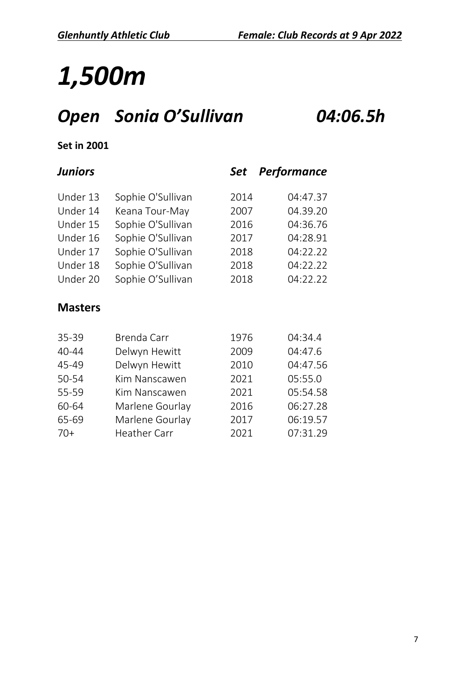# *1,500m*

## *Open Sonia O'Sullivan 04:06.5h*

| <b>Juniors</b> |                   | Set  | <b>Performance</b> |
|----------------|-------------------|------|--------------------|
| Under 13       | Sophie O'Sullivan | 2014 | 04:47.37           |
| Under 14       | Keana Tour-May    | 2007 | 04.39.20           |
| Under 15       | Sophie O'Sullivan | 2016 | 04:36.76           |
| Under 16       | Sophie O'Sullivan | 2017 | 04:28.91           |
| Under 17       | Sophie O'Sullivan | 2018 | 04:22.22           |
| Under 18       | Sophie O'Sullivan | 2018 | 04:22.22           |
| Under 20       | Sophie O'Sullivan | 2018 | 04:22.22           |
| <b>Masters</b> |                   |      |                    |
| 35-39          | Brenda Carr       | 1976 | 04:34.4            |
| 40-44          | Delwyn Hewitt     | 2009 | 04:47.6            |
| 45-49          | Delwyn Hewitt     | 2010 | 04:47.56           |
| 50-54          | Kim Nanscawen     | 2021 | 05:55.0            |
| 55-59          | Kim Nanscawen     | 2021 | 05:54.58           |
| 60-64          | Marlene Gourlay   | 2016 | 06:27.28           |
| 65-69          | Marlene Gourlay   | 2017 | 06:19.57           |
| $70+$          | Heather Carr      | 2021 | 07:31.29           |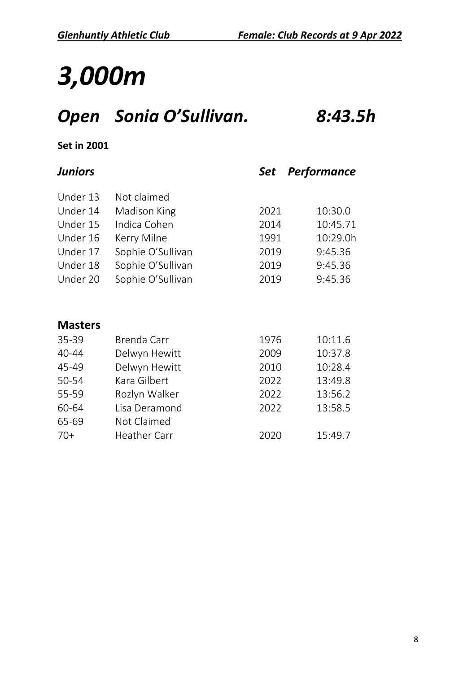# *3,000m*

## *Open Sonia O'Sullivan. 8:43.5h*

#### **Set in 2001**

#### *Juniors Set Performance*

| Under 13       | Not claimed       |      |          |
|----------------|-------------------|------|----------|
| Under 14       | Madison King      | 2021 | 10:30.0  |
| Under 15       | Indica Cohen      | 2014 | 10:45.71 |
| Under 16       | Kerry Milne       | 1991 | 10:29.0h |
| Under 17       | Sophie O'Sullivan | 2019 | 9:45.36  |
| Under 18       | Sophie O'Sullivan | 2019 | 9:45.36  |
| Under 20       | Sophie O'Sullivan | 2019 | 9:45.36  |
|                |                   |      |          |
|                |                   |      |          |
| <b>Masters</b> |                   |      |          |
| $35 - 39$      | Brenda Carr       | 1976 | 10:11.6  |
| $40 - 44$      | Delwyn Hewitt     | 2009 | 10:37.8  |
| 45-49          | Delwyn Hewitt     | 2010 | 10:28.4  |

| 45-49 | Delwyn Hewitt | 2010 | 10:28.4 |
|-------|---------------|------|---------|
| 50-54 | Kara Gilbert  | 2022 | 13:49.8 |
| 55-59 | Rozlyn Walker | 2022 | 13:56.2 |
| 60-64 | Lisa Deramond | 2022 | 13:58.5 |
| 65-69 | Not Claimed   |      |         |
| $70+$ | Heather Carr  | 2020 | 15:49.7 |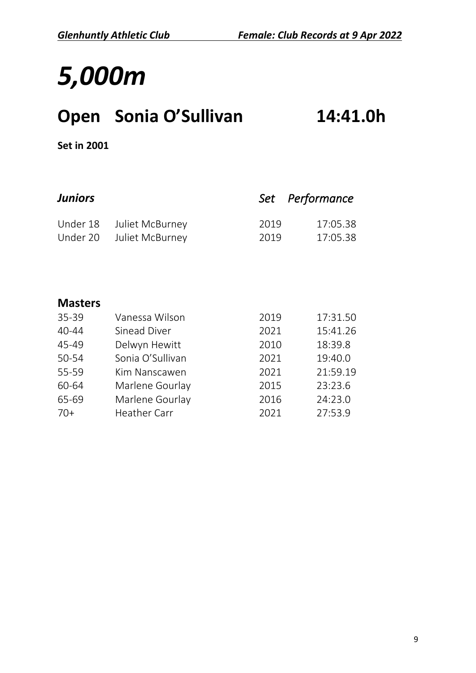## *5,000m*

## **Open Sonia O'Sullivan 14:41.0h**

| <b>Juniors</b> |                  | Set  | Performance |
|----------------|------------------|------|-------------|
| Under 18       | Juliet McBurney  | 2019 | 17:05.38    |
| Under 20       | Juliet McBurney  | 2019 | 17:05.38    |
|                |                  |      |             |
|                |                  |      |             |
|                |                  |      |             |
| <b>Masters</b> |                  |      |             |
| 35-39          | Vanessa Wilson   | 2019 | 17:31.50    |
| 40-44          | Sinead Diver     | 2021 | 15:41.26    |
| 45-49          | Delwyn Hewitt    | 2010 | 18:39.8     |
| 50-54          | Sonia O'Sullivan | 2021 | 19:40.0     |
| 55-59          | Kim Nanscawen    | 2021 | 21:59.19    |
| 60-64          | Marlene Gourlay  | 2015 | 23:23.6     |
| 65-69          | Marlene Gourlay  | 2016 | 24:23.0     |
| $70+$          | Heather Carr     | 2021 | 27:53.9     |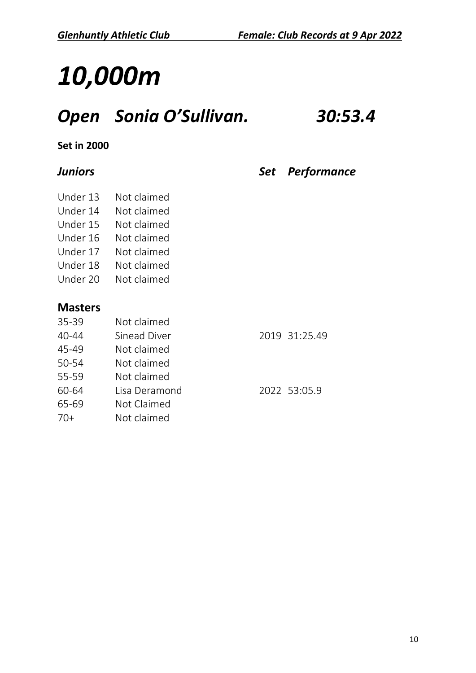## *10,000m*

## *Open Sonia O'Sullivan. 30:53.4*

#### **Set in 2000**

#### *Juniors Set Performance*

- Under 13 Not claimed
- Under 14 Not claimed
- Under 15 Not claimed
- Under 16 Not claimed
- 
- Under 17 Not claimed
- Under 18 Not claimed
- Under 20 Not claimed

| 35-39 | Not claimed   |               |
|-------|---------------|---------------|
| 40-44 | Sinead Diver  | 2019 31:25.49 |
| 45-49 | Not claimed   |               |
| 50-54 | Not claimed   |               |
| 55-59 | Not claimed   |               |
| 60-64 | Lisa Deramond | 2022 53:05.9  |
| 65-69 | Not Claimed   |               |
| $70+$ | Not claimed   |               |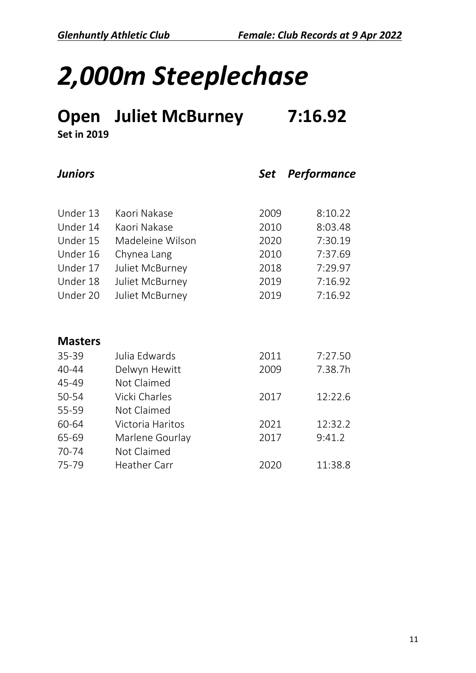# *2,000m Steeplechase*

## **Open Juliet McBurney 7:16.92**

| <b>Juniors</b> |                  | <b>Set</b> | Performance |
|----------------|------------------|------------|-------------|
|                |                  |            |             |
| Under 13       | Kaori Nakase     | 2009       | 8:10.22     |
| Under 14       | Kaori Nakase     | 2010       | 8:03.48     |
| Under 15       | Madeleine Wilson | 2020       | 7:30.19     |
| Under 16       | Chynea Lang      | 2010       | 7:37.69     |
| Under 17       | Juliet McBurney  | 2018       | 7:29.97     |
| Under 18       | Juliet McBurney  | 2019       | 7:16.92     |
| Under 20       | Juliet McBurney  | 2019       | 7:16.92     |
|                |                  |            |             |

| <b>Masters</b> |                     |      |         |
|----------------|---------------------|------|---------|
| $35 - 39$      | Julia Edwards       | 2011 | 7:27.50 |
| 40-44          | Delwyn Hewitt       | 2009 | 7.38.7h |
| 45-49          | Not Claimed         |      |         |
| 50-54          | Vicki Charles       | 2017 | 12:22.6 |
| 55-59          | Not Claimed         |      |         |
| 60-64          | Victoria Haritos    | 2021 | 12:32.2 |
| 65-69          | Marlene Gourlay     | 2017 | 9:41.2  |
| 70-74          | Not Claimed         |      |         |
| 75-79          | <b>Heather Carr</b> | 2020 | 11:38.8 |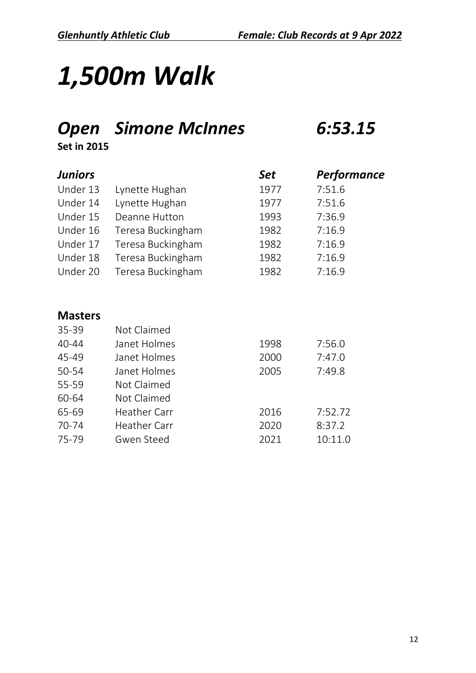# *1,500m Walk*

#### *Open Simone McInnes 6:53.15*

**Set in 2015**

| <b>Juniors</b> |                   | <b>Set</b> | Performance |
|----------------|-------------------|------------|-------------|
| Under 13       | Lynette Hughan    | 1977       | 7:51.6      |
| Under 14       | Lynette Hughan    | 1977       | 7:51.6      |
| Under 15       | Deanne Hutton     | 1993       | 7:36.9      |
| Under 16       | Teresa Buckingham | 1982       | 7:16.9      |
| Under 17       | Teresa Buckingham | 1982       | 7:16.9      |
| Under 18       | Teresa Buckingham | 1982       | 7:16.9      |
| Under 20       | Teresa Buckingham | 1982       | 7:16.9      |

| 35-39     | Not Claimed         |      |         |
|-----------|---------------------|------|---------|
| $40 - 44$ | Janet Holmes        | 1998 | 7:56.0  |
| 45-49     | Janet Holmes        | 2000 | 7:47.0  |
| 50-54     | Janet Holmes        | 2005 | 7:49.8  |
| 55-59     | Not Claimed         |      |         |
| 60-64     | Not Claimed         |      |         |
| 65-69     | <b>Heather Carr</b> | 2016 | 7:52.72 |
| 70-74     | <b>Heather Carr</b> | 2020 | 8:37.2  |
| 75-79     | Gwen Steed          | 2021 | 10:11.0 |
|           |                     |      |         |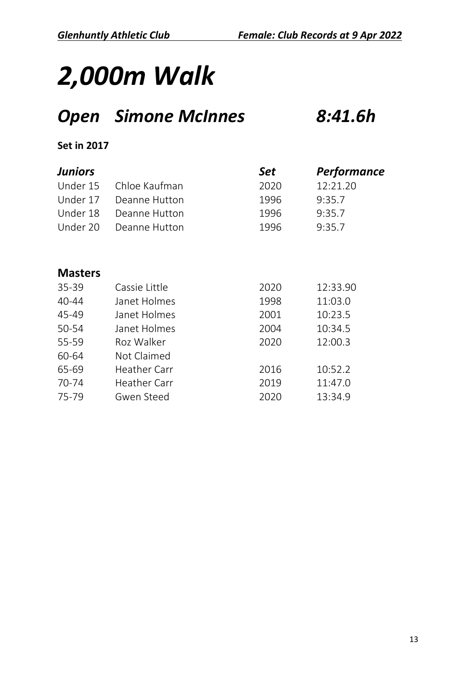#### *Open Simone McInnes 8:41.6h*

| <b>Juniors</b> |                     | <b>Set</b> | Performance |
|----------------|---------------------|------------|-------------|
| Under 15       | Chloe Kaufman       | 2020       | 12:21.20    |
| Under 17       | Deanne Hutton       | 1996       | 9:35.7      |
| Under 18       | Deanne Hutton       | 1996       | 9:35.7      |
| Under 20       | Deanne Hutton       | 1996       | 9:35.7      |
|                |                     |            |             |
| <b>Masters</b> |                     |            |             |
| $35 - 39$      | Cassie Little       | 2020       | 12:33.90    |
| 40-44          | Janet Holmes        | 1998       | 11:03.0     |
| 45-49          | Janet Holmes        | 2001       | 10:23.5     |
| 50-54          | Janet Holmes        | 2004       | 10:34.5     |
| 55-59          | Roz Walker          | 2020       | 12:00.3     |
| 60-64          | Not Claimed         |            |             |
| 65-69          | Heather Carr        | 2016       | 10:52.2     |
| 70-74          | <b>Heather Carr</b> | 2019       | 11:47.0     |
| 75-79          | <b>Gwen Steed</b>   | 2020       | 13:34.9     |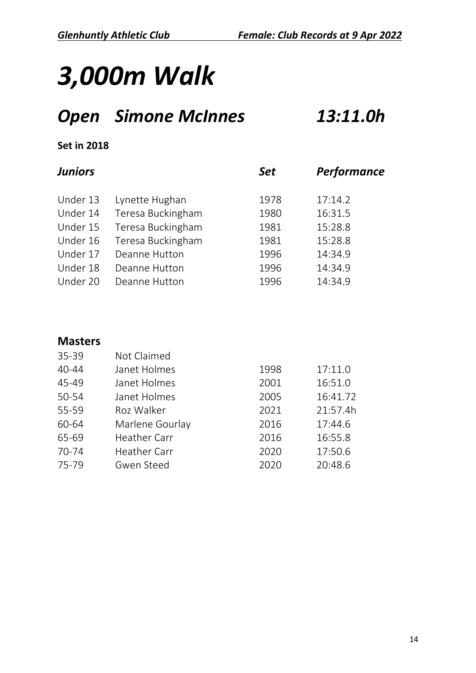#### *Open Simone McInnes 13:11.0h*

#### **Set in 2018**

| <b>Juniors</b> |                   | <b>Set</b> | Performance |  |
|----------------|-------------------|------------|-------------|--|
| Under 13       | Lynette Hughan    | 1978       | 17:14.2     |  |
| Under 14       | Teresa Buckingham | 1980       | 16:31.5     |  |
| Under 15       | Teresa Buckingham | 1981       | 15:28.8     |  |
| Under 16       | Teresa Buckingham | 1981       | 15:28.8     |  |
| Under 17       | Deanne Hutton     | 1996       | 14:34.9     |  |
| Under 18       | Deanne Hutton     | 1996       | 14:34.9     |  |
| Under 20       | Deanne Hutton     | 1996       | 14:34.9     |  |
|                |                   |            |             |  |

| 35-39     | Not Claimed         |      |          |
|-----------|---------------------|------|----------|
| $40 - 44$ | Janet Holmes        | 1998 | 17:11.0  |
| 45-49     | Janet Holmes        | 2001 | 16:51.0  |
| 50-54     | Janet Holmes        | 2005 | 16:41.72 |
| 55-59     | Roz Walker          | 2021 | 21:57.4h |
| 60-64     | Marlene Gourlay     | 2016 | 17:44.6  |
| 65-69     | <b>Heather Carr</b> | 2016 | 16:55.8  |
| 70-74     | <b>Heather Carr</b> | 2020 | 17:50.6  |
| 75-79     | Gwen Steed          | 2020 | 20:48.6  |
|           |                     |      |          |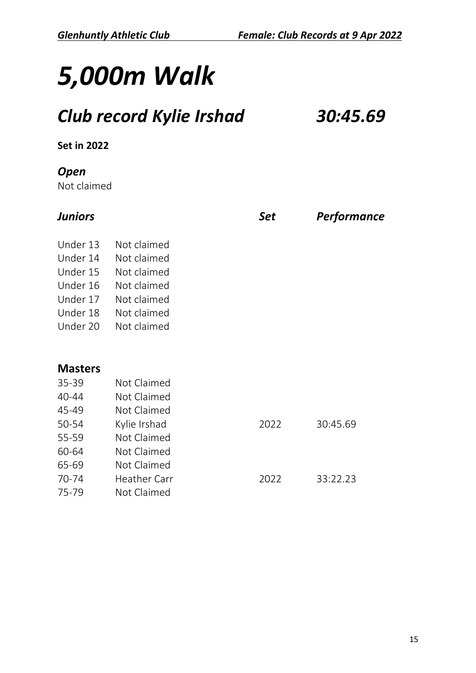## *Club record Kylie Irshad 30:45.69*

#### **Set in 2022**

#### *Open*

Not claimed

| <b>Juniors</b>                                                                   |                                                                                                       | Set  | <b>Performance</b> |
|----------------------------------------------------------------------------------|-------------------------------------------------------------------------------------------------------|------|--------------------|
| Under 13<br>Under 14<br>Under 15<br>Under 16<br>Under 17<br>Under 18<br>Under 20 | Not claimed<br>Not claimed<br>Not claimed<br>Not claimed<br>Not claimed<br>Not claimed<br>Not claimed |      |                    |
| <b>Masters</b><br>35-39                                                          | Not Claimed                                                                                           |      |                    |
| 40-44                                                                            | Not Claimed                                                                                           |      |                    |
| 45-49                                                                            | Not Claimed                                                                                           |      |                    |
| 50-54                                                                            | Kylie Irshad                                                                                          | 2022 | 30:45.69           |
| 55-59                                                                            | Not Claimed                                                                                           |      |                    |
| 60-64                                                                            | Not Claimed                                                                                           |      |                    |
| 65-69                                                                            | Not Claimed                                                                                           |      |                    |
| 70-74                                                                            | <b>Heather Carr</b>                                                                                   | 2022 | 33:22.23           |
| 75-79                                                                            | Not Claimed                                                                                           |      |                    |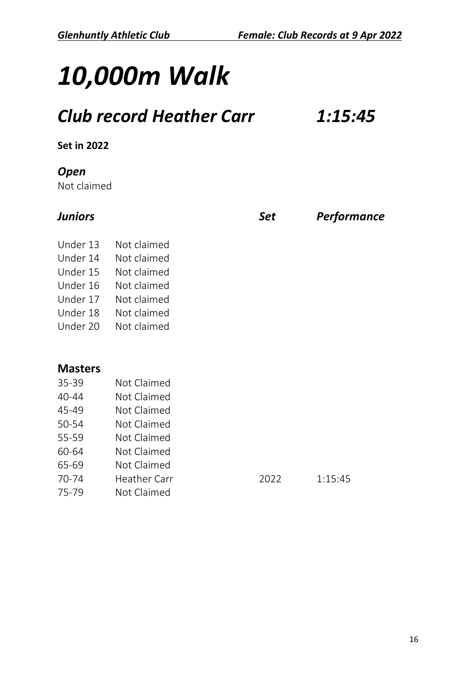#### *Club record Heather Carr 1:15:45*

#### **Set in 2022**

#### *Open*

Not claimed

| Juniors        |                     | Set  | <b>Performance</b> |
|----------------|---------------------|------|--------------------|
| Under 13       | Not claimed         |      |                    |
| Under 14       | Not claimed         |      |                    |
| Under 15       | Not claimed         |      |                    |
| Under 16       | Not claimed         |      |                    |
| Under 17       | Not claimed         |      |                    |
| Under 18       | Not claimed         |      |                    |
| Under 20       | Not claimed         |      |                    |
| <b>Masters</b> |                     |      |                    |
| 35-39          | Not Claimed         |      |                    |
| 40-44          | Not Claimed         |      |                    |
| 45-49          | Not Claimed         |      |                    |
| 50-54          | Not Claimed         |      |                    |
| 55-59          | Not Claimed         |      |                    |
| 60-64          | Not Claimed         |      |                    |
| 65-69          | Not Claimed         |      |                    |
| 70-74          | <b>Heather Carr</b> | 2022 | 1:15:45            |
| 75-79          | Not Claimed         |      |                    |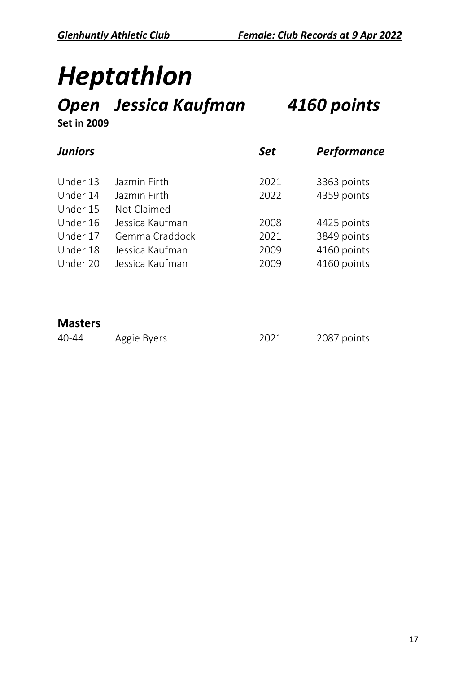# *Heptathlon*

#### *Open Jessica Kaufman 4160 points* **Set in 2009**

| Juniors<br><b>Set</b>               | Performance |
|-------------------------------------|-------------|
| Under 13<br>Jazmin Firth<br>2021    | 3363 points |
| Under 14<br>Jazmin Firth<br>2022    | 4359 points |
| Under 15<br>Not Claimed             |             |
| Under 16<br>Jessica Kaufman<br>2008 | 4425 points |
| Under 17<br>Gemma Craddock<br>2021  | 3849 points |
| Under 18<br>Jessica Kaufman<br>2009 | 4160 points |
| Under 20<br>Jessica Kaufman<br>2009 | 4160 points |

#### **Masters**

40-44 Aggie Byers 2021 2087 points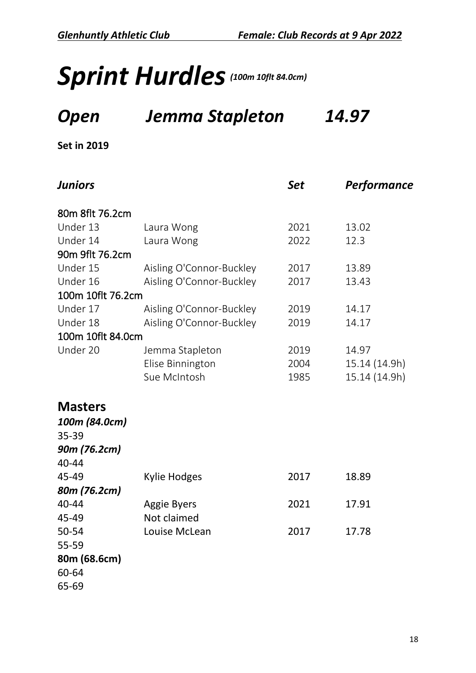## Sprint Hurdles<sup>(100m 10flt 84.0cm)</sup>

#### *Open Jemma Stapleton 14.97*

| <b>Juniors</b>    |                          | <b>Set</b> | Performance   |
|-------------------|--------------------------|------------|---------------|
| 80m 8flt 76.2cm   |                          |            |               |
| Under 13          | Laura Wong               | 2021       | 13.02         |
| Under 14          | Laura Wong               | 2022       | 12.3          |
| 90m 9flt 76.2cm   |                          |            |               |
| Under 15          | Aisling O'Connor-Buckley | 2017       | 13.89         |
| Under 16          | Aisling O'Connor-Buckley | 2017       | 13.43         |
| 100m 10flt 76.2cm |                          |            |               |
| Under 17          | Aisling O'Connor-Buckley | 2019       | 14.17         |
| Under 18          | Aisling O'Connor-Buckley | 2019       | 14.17         |
| 100m 10flt 84.0cm |                          |            |               |
| Under 20          | Jemma Stapleton          | 2019       | 14.97         |
|                   | Elise Binnington         | 2004       | 15.14 (14.9h) |
|                   | Sue McIntosh             | 1985       | 15.14 (14.9h) |
| <b>Masters</b>    |                          |            |               |
| 100m (84.0cm)     |                          |            |               |
| 35-39             |                          |            |               |
| 90m (76.2cm)      |                          |            |               |
| 40-44             |                          |            |               |
| 45-49             | <b>Kylie Hodges</b>      | 2017       | 18.89         |
| 80m (76.2cm)      |                          |            |               |
| 40-44             | <b>Aggie Byers</b>       | 2021       | 17.91         |
| 45-49             | Not claimed              |            |               |
| 50-54             | Louise McLean            | 2017       | 17.78         |
| 55-59             |                          |            |               |
| 80m (68.6cm)      |                          |            |               |
| 60-64             |                          |            |               |
| 65-69             |                          |            |               |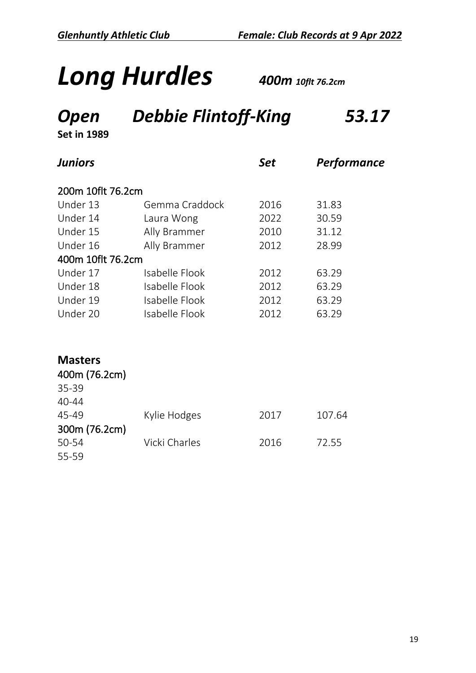# *Long Hurdles 400m 10flt 76.2cm*

## *Open Debbie Flintoff-King 53.17*

| <b>Juniors</b>    |                | Set  | Performance |
|-------------------|----------------|------|-------------|
| 200m 10flt 76.2cm |                |      |             |
| Under 13          | Gemma Craddock | 2016 | 31.83       |
| Under 14          | Laura Wong     | 2022 | 30.59       |
| Under 15          | Ally Brammer   | 2010 | 31.12       |
| Under 16          | Ally Brammer   | 2012 | 28.99       |
| 400m 10flt 76.2cm |                |      |             |
| Under 17          | Isabelle Flook | 2012 | 63.29       |
| Under 18          | Isabelle Flook | 2012 | 63.29       |
| Under 19          | Isabelle Flook | 2012 | 63.29       |
| Under 20          | Isabelle Flook | 2012 | 63.29       |
|                   |                |      |             |
|                   |                |      |             |
|                   |                |      |             |

| <b>Masters</b> |               |      |        |
|----------------|---------------|------|--------|
| 400m (76.2cm)  |               |      |        |
| 35-39          |               |      |        |
| $40 - 44$      |               |      |        |
| 45-49          | Kylie Hodges  | 2017 | 107.64 |
| 300m (76.2cm)  |               |      |        |
| 50-54          | Vicki Charles | 2016 | 72.55  |
| 55-59          |               |      |        |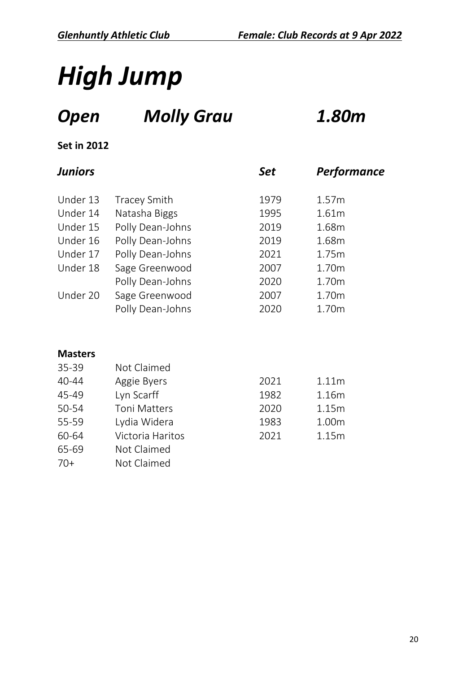# *High Jump*

## *Open Molly Grau 1.80m*

#### **Set in 2012**

#### *Juniors Set Performance*

| Under 13 | <b>Tracey Smith</b> | 1979 | 1.57m             |
|----------|---------------------|------|-------------------|
| Under 14 | Natasha Biggs       | 1995 | 1.61m             |
| Under 15 | Polly Dean-Johns    | 2019 | 1.68m             |
| Under 16 | Polly Dean-Johns    | 2019 | 1.68m             |
| Under 17 | Polly Dean-Johns    | 2021 | 1.75m             |
| Under 18 | Sage Greenwood      | 2007 | 1.70m             |
|          | Polly Dean-Johns    | 2020 | 1.70m             |
| Under 20 | Sage Greenwood      | 2007 | 1.70 <sub>m</sub> |
|          | Polly Dean-Johns    | 2020 | 1.70m             |

| 35-39     | Not Claimed         |      |                   |
|-----------|---------------------|------|-------------------|
| $40 - 44$ | Aggie Byers         | 2021 | 1.11 <sub>m</sub> |
| 45-49     | Lyn Scarff          | 1982 | 1.16m             |
| 50-54     | <b>Toni Matters</b> | 2020 | 1.15m             |
| 55-59     | Lydia Widera        | 1983 | 1.00m             |
| 60-64     | Victoria Haritos    | 2021 | 1.15m             |
| 65-69     | Not Claimed         |      |                   |
| $70+$     | Not Claimed         |      |                   |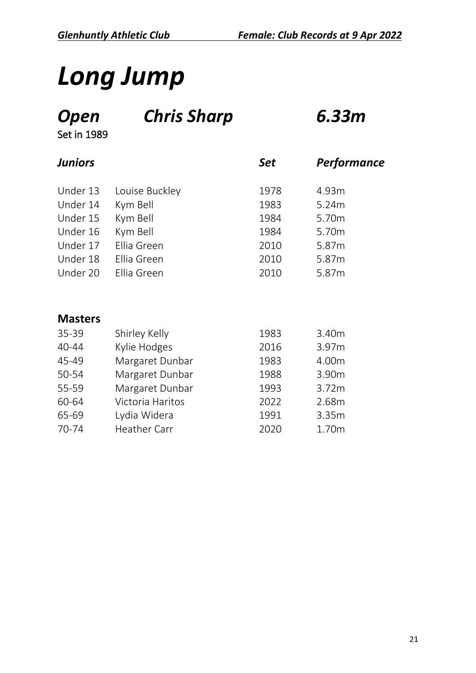# *Long Jump*

*Open Chris Sharp 6.33m*

Set in 1989

| <b>Juniors</b> |                | <b>Set</b> | Performance |
|----------------|----------------|------------|-------------|
| Under 13       | Louise Buckley | 1978       | 4.93m       |
| Under 14       | Kym Bell       | 1983       | 5.24m       |
| Under 15       | Kym Bell       | 1984       | 5.70m       |
| Under 16       | Kym Bell       | 1984       | 5.70m       |
| Under 17       | Ellia Green    | 2010       | 5.87m       |
| Under 18       | Ellia Green    | 2010       | 5.87m       |
| Under 20       | Ellia Green    | 2010       | 5.87m       |
|                |                |            |             |

| 35-39 | Shirley Kelly       | 1983 | 3.40m |
|-------|---------------------|------|-------|
| 40-44 | Kylie Hodges        | 2016 | 3.97m |
| 45-49 | Margaret Dunbar     | 1983 | 4.00m |
| 50-54 | Margaret Dunbar     | 1988 | 3.90m |
| 55-59 | Margaret Dunbar     | 1993 | 3.72m |
| 60-64 | Victoria Haritos    | 2022 | 2.68m |
| 65-69 | Lydia Widera        | 1991 | 3.35m |
| 70-74 | <b>Heather Carr</b> | 2020 | 1.70m |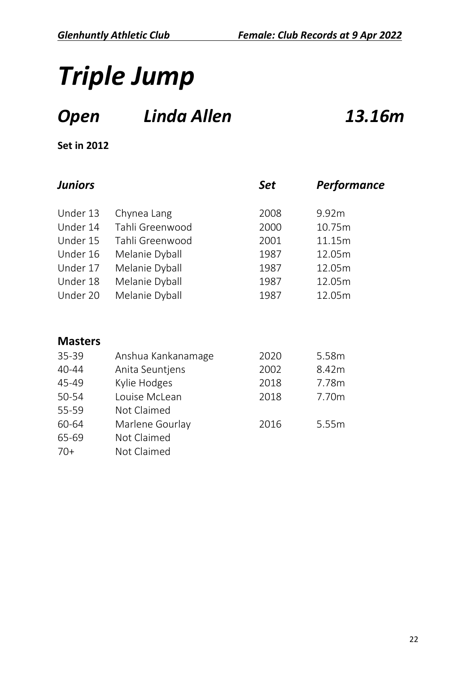# *Triple Jump*

## *Open Linda Allen 13.16m*

| <b>Juniors</b> |                    | <b>Set</b> | Performance |
|----------------|--------------------|------------|-------------|
| Under 13       | Chynea Lang        | 2008       | 9.92m       |
| Under 14       | Tahli Greenwood    | 2000       | 10.75m      |
| Under 15       | Tahli Greenwood    | 2001       | 11.15m      |
| Under 16       | Melanie Dyball     | 1987       | 12.05m      |
| Under 17       | Melanie Dyball     | 1987       | 12.05m      |
| Under 18       | Melanie Dyball     | 1987       | 12.05m      |
| Under 20       | Melanie Dyball     | 1987       | 12.05m      |
| <b>Masters</b> |                    |            |             |
| 35-39          | Anshua Kankanamage | 2020       | 5.58m       |
| 40-44          | Anita Seuntjens    | 2002       | 8.42m       |
| 45-49          | Kylie Hodges       | 2018       | 7.78m       |
| 50-54          | Louise McLean      | 2018       | 7.70m       |
| 55-59          | Not Claimed        |            |             |
| 60-64          | Marlene Gourlay    | 2016       | 5.55m       |
| 65-69          | Not Claimed        |            |             |
| $70+$          | Not Claimed        |            |             |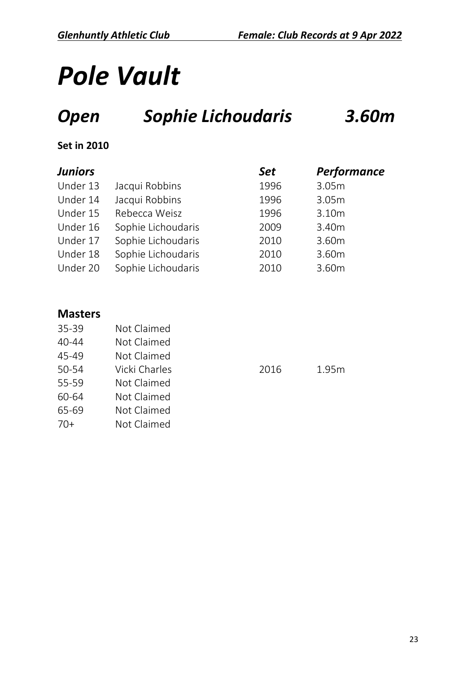# *Pole Vault*

## *Open Sophie Lichoudaris 3.60m*

#### **Set in 2010**

| <b>Juniors</b> |                    | <b>Set</b> | Performance |
|----------------|--------------------|------------|-------------|
| Under 13       | Jacqui Robbins     | 1996       | 3.05m       |
| Under 14       | Jacqui Robbins     | 1996       | 3.05m       |
| Under 15       | Rebecca Weisz      | 1996       | 3.10m       |
| Under 16       | Sophie Lichoudaris | 2009       | 3.40m       |
| Under 17       | Sophie Lichoudaris | 2010       | 3.60m       |
| Under 18       | Sophie Lichoudaris | 2010       | 3.60m       |
| Under 20       | Sophie Lichoudaris | 2010       | 3.60m       |

#### **Masters**

| Not Claimed   |
|---------------|
| Not Claimed   |
| Not Claimed   |
| Vicki Charles |
| Not Claimed   |
| Not Claimed   |
| Not Claimed   |
| Not Claimed   |
|               |

2016 1.95m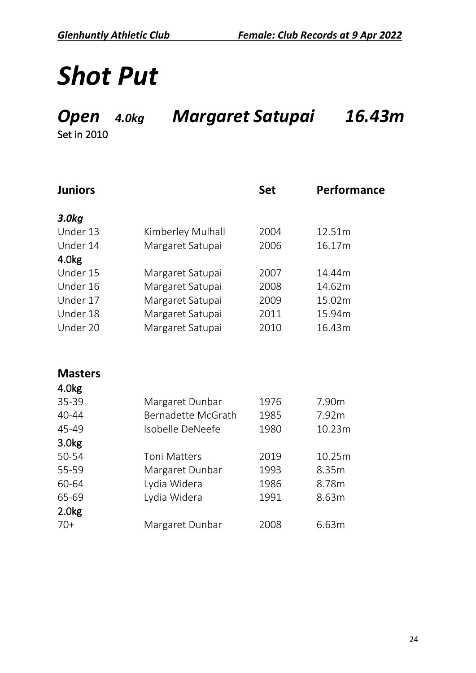## *Shot Put*

#### *Open 4.0kg Margaret Satupai 16.43m*

| <b>Juniors</b>    |                     | <b>Set</b> | Performance |
|-------------------|---------------------|------------|-------------|
| 3.0 <sub>kq</sub> |                     |            |             |
| Under 13          | Kimberley Mulhall   | 2004       | 12.51m      |
| Under 14          | Margaret Satupai    | 2006       | 16.17m      |
| 4.0 <sub>kg</sub> |                     |            |             |
| Under 15          | Margaret Satupai    | 2007       | 14.44m      |
| Under 16          | Margaret Satupai    | 2008       | 14.62m      |
| Under 17          | Margaret Satupai    | 2009       | 15.02m      |
| Under 18          | Margaret Satupai    | 2011       | 15.94m      |
| Under 20          | Margaret Satupai    | 2010       | 16.43m      |
|                   |                     |            |             |
| <b>Masters</b>    |                     |            |             |
| 4.0kg             |                     |            |             |
| 35-39             | Margaret Dunbar     | 1976       | 7.90m       |
| 40-44             | Bernadette McGrath  | 1985       | 7.92m       |
| 45-49             | Isobelle DeNeefe    | 1980       | 10.23m      |
| 3.0 <sub>kg</sub> |                     |            |             |
| 50-54             | <b>Toni Matters</b> | 2019       | 10.25m      |
| 55-59             | Margaret Dunbar     | 1993       | 8.35m       |
| 60-64             | Lydia Widera        | 1986       | 8.78m       |
| 65-69             | Lydia Widera        | 1991       | 8.63m       |
| 2.0 <sub>kg</sub> |                     |            |             |
| $70+$             | Margaret Dunbar     | 2008       | 6.63m       |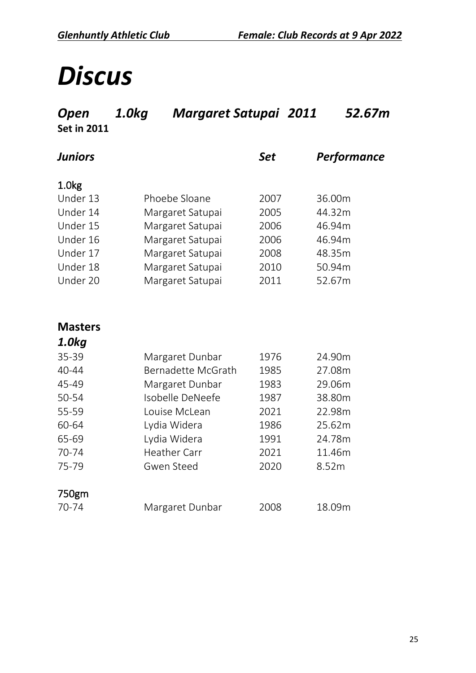## *Discus*

| Open<br><b>Set in 2011</b> | 1.0kg<br><b>Margaret Satupai 2011</b> |            | 52.67m      |
|----------------------------|---------------------------------------|------------|-------------|
| <b>Juniors</b>             |                                       | <b>Set</b> | Performance |
| 1.0 <sub>kg</sub>          |                                       |            |             |
| Under 13                   | Phoebe Sloane                         | 2007       | 36.00m      |
| Under 14                   | Margaret Satupai                      | 2005       | 44.32m      |
| Under 15                   | Margaret Satupai                      | 2006       | 46.94m      |
| Under 16                   | Margaret Satupai                      | 2006       | 46.94m      |
| Under 17                   | Margaret Satupai                      | 2008       | 48.35m      |
| Under 18                   | Margaret Satupai                      | 2010       | 50.94m      |
| Under 20                   | Margaret Satupai                      | 2011       | 52.67m      |
|                            |                                       |            |             |
| <b>Masters</b>             |                                       |            |             |
| 1.0kg                      |                                       |            |             |
| 35-39                      | Margaret Dunbar                       | 1976       | 24.90m      |
| 40-44                      | Bernadette McGrath                    | 1985       | 27.08m      |
| 45-49                      | Margaret Dunbar                       | 1983       | 29.06m      |
| 50-54                      | Isobelle DeNeefe                      | 1987       | 38.80m      |
| 55-59                      | Louise McLean                         | 2021       | 22.98m      |
| 60-64                      | Lydia Widera                          | 1986       | 25.62m      |
| 65-69                      | Lydia Widera                          | 1991       | 24.78m      |
| 70-74                      | <b>Heather Carr</b>                   | 2021       | 11.46m      |
| 75-79                      | <b>Gwen Steed</b>                     | 2020       | 8.52m       |
| 750gm                      |                                       |            |             |
| 70-74                      | Margaret Dunbar                       | 2008       | 18.09m      |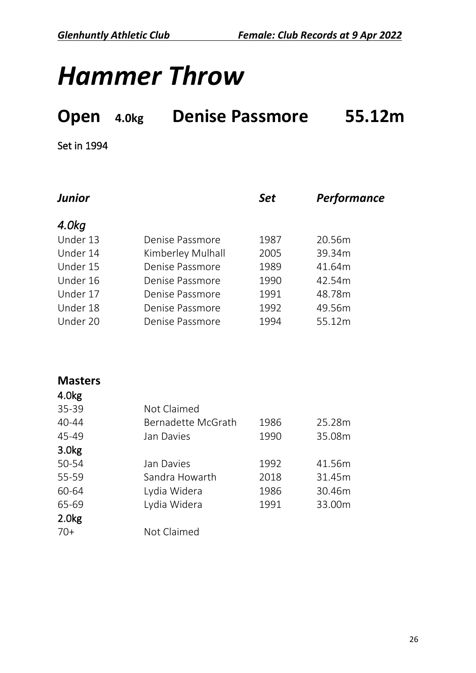## *Hammer Throw*

## **Open 4.0kg Denise Passmore 55.12m**

| <b>Junior</b> |                   | <b>Set</b> | Performance |
|---------------|-------------------|------------|-------------|
| 4.0kg         |                   |            |             |
| Under 13      | Denise Passmore   | 1987       | 20.56m      |
| Under 14      | Kimberley Mulhall | 2005       | 39.34m      |
| Under 15      | Denise Passmore   | 1989       | 41.64m      |
| Under 16      | Denise Passmore   | 1990       | 42.54m      |
| Under 17      | Denise Passmore   | 1991       | 48.78m      |
| Under 18      | Denise Passmore   | 1992       | 49.56m      |
| Under 20      | Denise Passmore   | 1994       | 55.12m      |

| <b>Masters</b>    |                    |      |        |
|-------------------|--------------------|------|--------|
| 4.0 <sub>kg</sub> |                    |      |        |
| 35-39             | Not Claimed        |      |        |
| $40 - 44$         | Bernadette McGrath | 1986 | 25.28m |
| 45-49             | Jan Davies         | 1990 | 35.08m |
| 3.0 <sub>kg</sub> |                    |      |        |
| 50-54             | Jan Davies         | 1992 | 41.56m |
| 55-59             | Sandra Howarth     | 2018 | 31.45m |
| 60-64             | Lydia Widera       | 1986 | 30.46m |
| 65-69             | Lydia Widera       | 1991 | 33.00m |
| 2.0 <sub>kg</sub> |                    |      |        |
| $70+$             | Not Claimed        |      |        |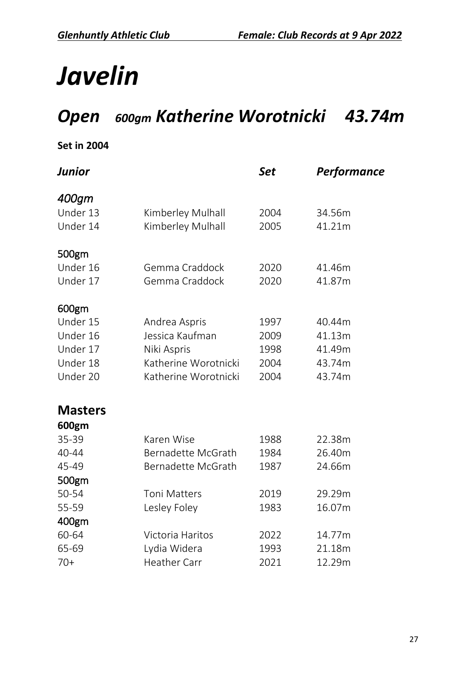# *Javelin*

#### *Open 600gm Katherine Worotnicki 43.74m*

| Junior         |                           | <b>Set</b> | Performance |
|----------------|---------------------------|------------|-------------|
| 400gm          |                           |            |             |
| Under 13       | Kimberley Mulhall         | 2004       | 34.56m      |
| Under 14       | Kimberley Mulhall         | 2005       | 41.21m      |
| 500gm          |                           |            |             |
| Under 16       | Gemma Craddock            | 2020       | 41.46m      |
| Under 17       | Gemma Craddock            | 2020       | 41.87m      |
| 600gm          |                           |            |             |
| Under 15       | Andrea Aspris             | 1997       | 40.44m      |
| Under 16       | Jessica Kaufman           | 2009       | 41.13m      |
| Under 17       | Niki Aspris               | 1998       | 41.49m      |
| Under 18       | Katherine Worotnicki      | 2004       | 43.74m      |
| Under 20       | Katherine Worotnicki      | 2004       | 43.74m      |
| <b>Masters</b> |                           |            |             |
| 600gm          |                           |            |             |
| 35-39          | Karen Wise                | 1988       | 22.38m      |
| 40-44          | <b>Bernadette McGrath</b> | 1984       | 26.40m      |
| 45-49          | Bernadette McGrath        | 1987       | 24.66m      |
| 500gm          |                           |            |             |
| 50-54          | <b>Toni Matters</b>       | 2019       | 29.29m      |
| 55-59          | Lesley Foley              | 1983       | 16.07m      |
| 400gm          |                           |            |             |
| 60-64          | Victoria Haritos          | 2022       | 14.77m      |
| 65-69          | Lydia Widera              | 1993       | 21.18m      |
| $70+$          | <b>Heather Carr</b>       | 2021       | 12.29m      |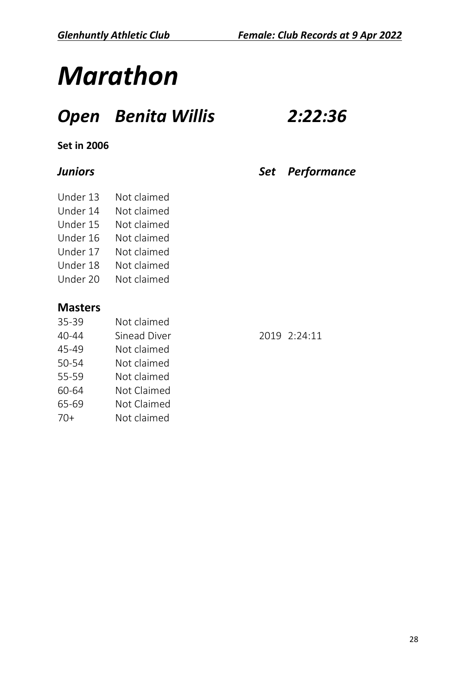# *Marathon*

#### *Open Benita Willis 2:22:36*

#### **Set in 2006**

| Under 13 | Not claimed |
|----------|-------------|
|          |             |

- Under 14 Not claimed
- Under 15 Not claimed
- Under 16 Not claimed
- Under 17 Not claimed
- 
- Under 18 Not claimed
- Under 20 Not claimed

#### **Masters**

- 35-39 Not claimed
- 40-44 Sinead Diver 2019 2:24:11
- 45-49 Not claimed
- 50-54 Not claimed
- 55-59 Not claimed
- 60-64 Not Claimed
- 65-69 Not Claimed
- 70+ Not claimed

*Juniors Set Performance*